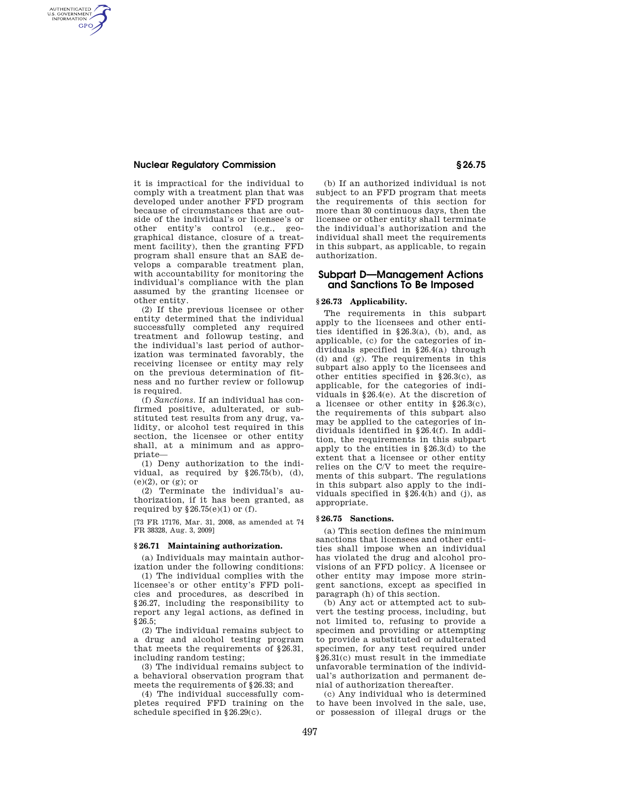## **Nuclear Regulatory Commission § 26.75**

AUTHENTICATED<br>U.S. GOVERNMENT<br>INFORMATION **GPO** 

> it is impractical for the individual to comply with a treatment plan that was developed under another FFD program because of circumstances that are outside of the individual's or licensee's or other entity's control (e.g., geographical distance, closure of a treatment facility), then the granting FFD program shall ensure that an SAE develops a comparable treatment plan, with accountability for monitoring the individual's compliance with the plan assumed by the granting licensee or other entity.

> (2) If the previous licensee or other entity determined that the individual successfully completed any required treatment and followup testing, and the individual's last period of authorization was terminated favorably, the receiving licensee or entity may rely on the previous determination of fitness and no further review or followup is required.

> (f) *Sanctions.* If an individual has confirmed positive, adulterated, or substituted test results from any drug, validity, or alcohol test required in this section, the licensee or other entity shall, at a minimum and as appropriate—

> (1) Deny authorization to the individual, as required by §26.75(b), (d), (e)(2), or (g); or

> (2) Terminate the individual's authorization, if it has been granted, as required by  $§26.75(e)(1)$  or (f).

> [73 FR 17176, Mar. 31, 2008, as amended at 74 FR 38328, Aug. 3, 2009]

#### **§ 26.71 Maintaining authorization.**

(a) Individuals may maintain authorization under the following conditions:

(1) The individual complies with the licensee's or other entity's FFD policies and procedures, as described in §26.27, including the responsibility to report any legal actions, as defined in §26.5;

(2) The individual remains subject to a drug and alcohol testing program that meets the requirements of §26.31, including random testing;

(3) The individual remains subject to a behavioral observation program that meets the requirements of §26.33; and

(4) The individual successfully completes required FFD training on the schedule specified in §26.29(c).

(b) If an authorized individual is not subject to an FFD program that meets the requirements of this section for more than 30 continuous days, then the licensee or other entity shall terminate the individual's authorization and the individual shall meet the requirements in this subpart, as applicable, to regain authorization.

# **Subpart D—Management Actions and Sanctions To Be Imposed**

## **§ 26.73 Applicability.**

The requirements in this subpart apply to the licensees and other entities identified in §26.3(a), (b), and, as applicable, (c) for the categories of individuals specified in §26.4(a) through (d) and (g). The requirements in this subpart also apply to the licensees and other entities specified in §26.3(c), as applicable, for the categories of individuals in §26.4(e). At the discretion of a licensee or other entity in §26.3(c), the requirements of this subpart also may be applied to the categories of individuals identified in §26.4(f). In addition, the requirements in this subpart apply to the entities in §26.3(d) to the extent that a licensee or other entity relies on the C/V to meet the requirements of this subpart. The regulations in this subpart also apply to the individuals specified in §26.4(h) and (j), as appropriate.

#### **§ 26.75 Sanctions.**

(a) This section defines the minimum sanctions that licensees and other entities shall impose when an individual has violated the drug and alcohol provisions of an FFD policy. A licensee or other entity may impose more stringent sanctions, except as specified in paragraph (h) of this section.

(b) Any act or attempted act to subvert the testing process, including, but not limited to, refusing to provide a specimen and providing or attempting to provide a substituted or adulterated specimen, for any test required under §26.31(c) must result in the immediate unfavorable termination of the individual's authorization and permanent denial of authorization thereafter.

(c) Any individual who is determined to have been involved in the sale, use, or possession of illegal drugs or the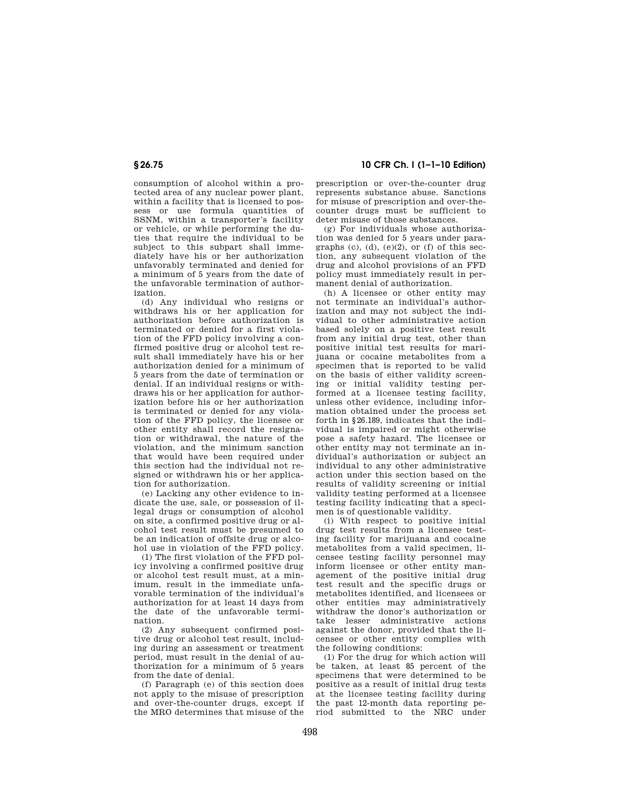# **§ 26.75 10 CFR Ch. I (1–1–10 Edition)**

consumption of alcohol within a protected area of any nuclear power plant, within a facility that is licensed to possess or use formula quantities of SSNM, within a transporter's facility or vehicle, or while performing the duties that require the individual to be subject to this subpart shall immediately have his or her authorization unfavorably terminated and denied for a minimum of 5 years from the date of the unfavorable termination of authorization.

(d) Any individual who resigns or withdraws his or her application for authorization before authorization is terminated or denied for a first violation of the FFD policy involving a confirmed positive drug or alcohol test result shall immediately have his or her authorization denied for a minimum of 5 years from the date of termination or denial. If an individual resigns or withdraws his or her application for authorization before his or her authorization is terminated or denied for any violation of the FFD policy, the licensee or other entity shall record the resignation or withdrawal, the nature of the violation, and the minimum sanction that would have been required under this section had the individual not resigned or withdrawn his or her application for authorization.

(e) Lacking any other evidence to indicate the use, sale, or possession of illegal drugs or consumption of alcohol on site, a confirmed positive drug or alcohol test result must be presumed to be an indication of offsite drug or alcohol use in violation of the FFD policy.

(1) The first violation of the FFD policy involving a confirmed positive drug or alcohol test result must, at a minimum, result in the immediate unfavorable termination of the individual's authorization for at least 14 days from the date of the unfavorable termination.

(2) Any subsequent confirmed positive drug or alcohol test result, including during an assessment or treatment period, must result in the denial of authorization for a minimum of 5 years from the date of denial.

(f) Paragraph (e) of this section does not apply to the misuse of prescription and over-the-counter drugs, except if the MRO determines that misuse of the

prescription or over-the-counter drug represents substance abuse. Sanctions for misuse of prescription and over-thecounter drugs must be sufficient to deter misuse of those substances.

(g) For individuals whose authorization was denied for 5 years under paragraphs (c), (d), (e)(2), or (f) of this section, any subsequent violation of the drug and alcohol provisions of an FFD policy must immediately result in permanent denial of authorization.

(h) A licensee or other entity may not terminate an individual's authorization and may not subject the individual to other administrative action based solely on a positive test result from any initial drug test, other than positive initial test results for marijuana or cocaine metabolites from a specimen that is reported to be valid on the basis of either validity screening or initial validity testing performed at a licensee testing facility, unless other evidence, including information obtained under the process set forth in §26.189, indicates that the individual is impaired or might otherwise pose a safety hazard. The licensee or other entity may not terminate an individual's authorization or subject an individual to any other administrative action under this section based on the results of validity screening or initial validity testing performed at a licensee testing facility indicating that a specimen is of questionable validity.

(i) With respect to positive initial drug test results from a licensee testing facility for marijuana and cocaine metabolites from a valid specimen, licensee testing facility personnel may inform licensee or other entity management of the positive initial drug test result and the specific drugs or metabolites identified, and licensees or other entities may administratively withdraw the donor's authorization or take lesser administrative actions against the donor, provided that the licensee or other entity complies with the following conditions:

(1) For the drug for which action will be taken, at least 85 percent of the specimens that were determined to be positive as a result of initial drug tests at the licensee testing facility during the past 12-month data reporting period submitted to the NRC under